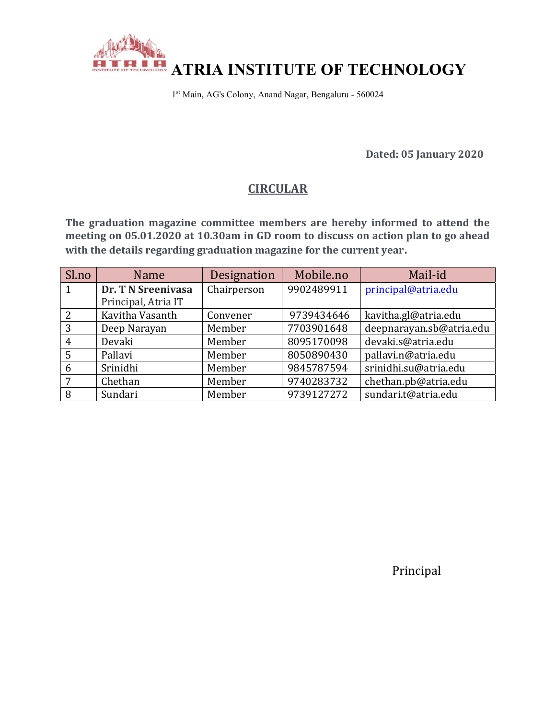

1 st Main, AG's Colony, Anand Nagar, Bengaluru - 560024

Dated: 05 January 2020

# **CIRCULAR**

The graduation magazine committee members are hereby informed to attend the meeting on 05.01.2020 at 10.30am in GD room to discuss on action plan to go ahead with the details regarding graduation magazine for the current year.

| Sl.no        | Name                | Designation | Mobile.no  | Mail-id                  |
|--------------|---------------------|-------------|------------|--------------------------|
| $\mathbf{1}$ | Dr. T N Sreenivasa  | Chairperson | 9902489911 | principal@atria.edu      |
|              | Principal, Atria IT |             |            |                          |
| 2            | Kavitha Vasanth     | Convener    | 9739434646 | kavitha.gl@atria.edu     |
| 3            | Deep Narayan        | Member      | 7703901648 | deepnarayan.sb@atria.edu |
| 4            | Devaki              | Member      | 8095170098 | devaki.s@atria.edu       |
| 5            | Pallavi             | Member      | 8050890430 | pallavi.n@atria.edu      |
| 6            | Srinidhi            | Member      | 9845787594 | srinidhi.su@atria.edu    |
| 7            | Chethan             | Member      | 9740283732 | chethan.pb@atria.edu     |
| 8            | Sundari             | Member      | 9739127272 | sundari.t@atria.edu      |

Principal